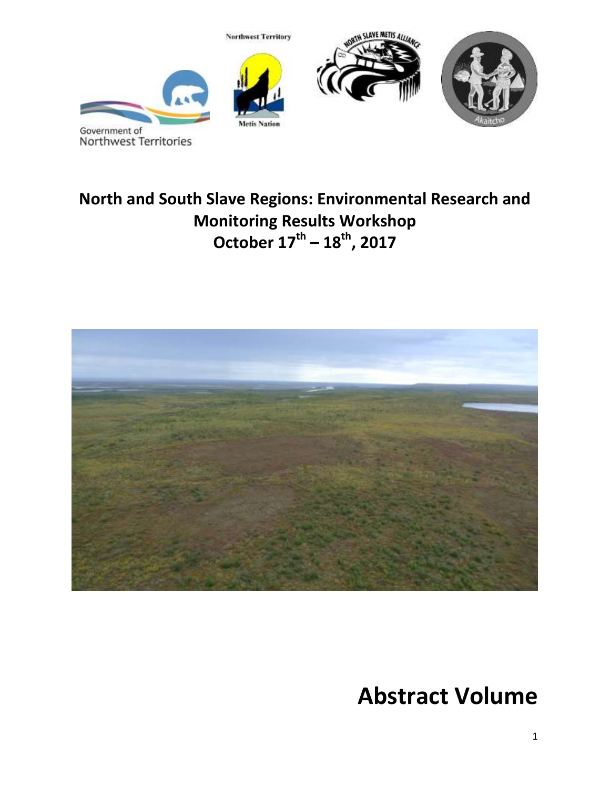

# **North and South Slave Regions: Environmental Research and Monitoring Results Workshop October 17th – 18th, 2017**



**Abstract Volume**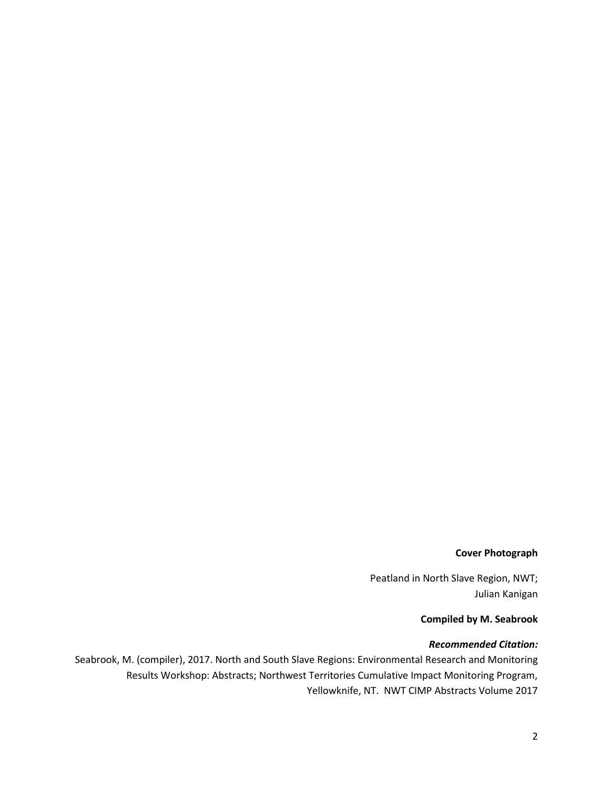#### **Cover Photograph**

Peatland in North Slave Region, NWT; Julian Kanigan

#### **Compiled by M. Seabrook**

#### *Recommended Citation:*

Seabrook, M. (compiler), 2017. North and South Slave Regions: Environmental Research and Monitoring Results Workshop: Abstracts; Northwest Territories Cumulative Impact Monitoring Program, Yellowknife, NT. NWT CIMP Abstracts Volume 2017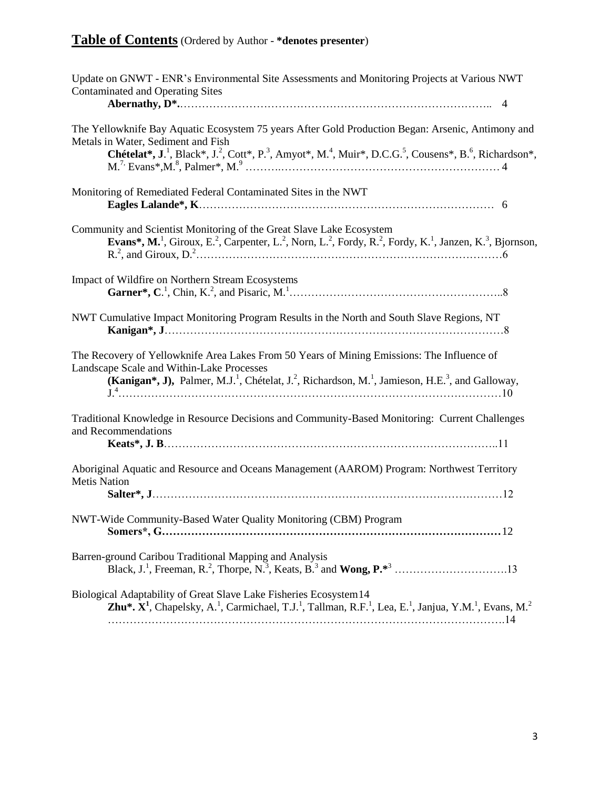## **Table of Contents** (Ordered by Author - **\*denotes presenter**)

| Update on GNWT - ENR's Environmental Site Assessments and Monitoring Projects at Various NWT<br><b>Contaminated and Operating Sites</b>                                                                                                                                                                                    |
|----------------------------------------------------------------------------------------------------------------------------------------------------------------------------------------------------------------------------------------------------------------------------------------------------------------------------|
|                                                                                                                                                                                                                                                                                                                            |
| The Yellowknife Bay Aquatic Ecosystem 75 years After Gold Production Began: Arsenic, Antimony and<br>Metals in Water, Sediment and Fish<br>Chételat*, J. <sup>1</sup> , Black*, J. <sup>2</sup> , Cott*, P. <sup>3</sup> , Amyot*, M. <sup>4</sup> , Muir*, D.C.G. <sup>5</sup> , Cousens*, B. <sup>6</sup> , Richardson*, |
| Monitoring of Remediated Federal Contaminated Sites in the NWT                                                                                                                                                                                                                                                             |
| Community and Scientist Monitoring of the Great Slave Lake Ecosystem<br><b>Evans*, M.</b> <sup>1</sup> , Giroux, E. <sup>2</sup> , Carpenter, L. <sup>2</sup> , Norn, L. <sup>2</sup> , Fordy, R. <sup>2</sup> , Fordy, K. <sup>1</sup> , Janzen, K. <sup>3</sup> , Bjornson,                                              |
| Impact of Wildfire on Northern Stream Ecosystems                                                                                                                                                                                                                                                                           |
| NWT Cumulative Impact Monitoring Program Results in the North and South Slave Regions, NT                                                                                                                                                                                                                                  |
| The Recovery of Yellowknife Area Lakes From 50 Years of Mining Emissions: The Influence of<br>Landscape Scale and Within-Lake Processes<br>(Kanigan*, J), Palmer, M.J. <sup>1</sup> , Chételat, J. <sup>2</sup> , Richardson, M. <sup>1</sup> , Jamieson, H.E. <sup>3</sup> , and Galloway,                                |
| Traditional Knowledge in Resource Decisions and Community-Based Monitoring: Current Challenges<br>and Recommendations                                                                                                                                                                                                      |
| Aboriginal Aquatic and Resource and Oceans Management (AAROM) Program: Northwest Territory<br><b>Metis Nation</b>                                                                                                                                                                                                          |
| NWT-Wide Community-Based Water Quality Monitoring (CBM) Program                                                                                                                                                                                                                                                            |
| Barren-ground Caribou Traditional Mapping and Analysis                                                                                                                                                                                                                                                                     |
| Biological Adaptability of Great Slave Lake Fisheries Ecosystem14<br><b>Zhu*.</b> $X^1$ , Chapelsky, A. <sup>1</sup> , Carmichael, T.J. <sup>1</sup> , Tallman, R.F. <sup>1</sup> , Lea, E. <sup>1</sup> , Janjua, Y.M. <sup>1</sup> , Evans, M. <sup>2</sup>                                                              |
|                                                                                                                                                                                                                                                                                                                            |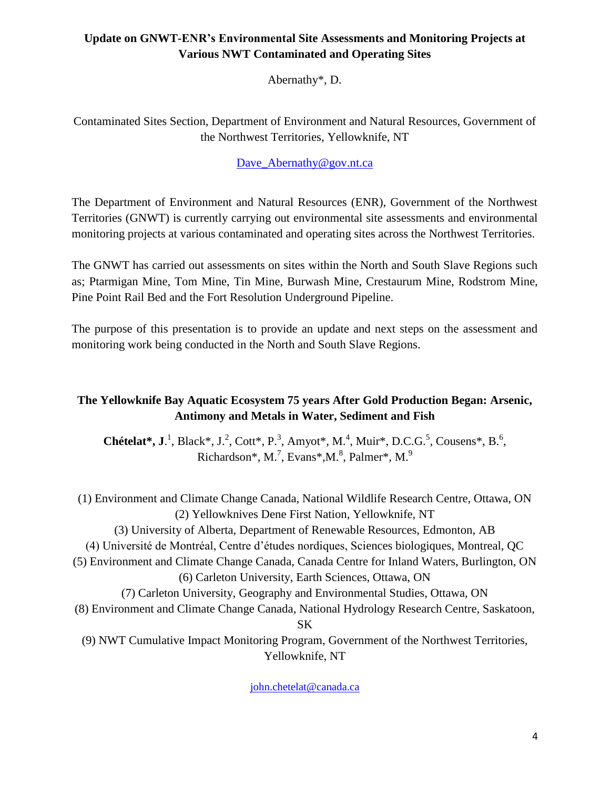## **Update on GNWT-ENR's Environmental Site Assessments and Monitoring Projects at Various NWT Contaminated and Operating Sites**

Abernathy\*, D.

Contaminated Sites Section, Department of Environment and Natural Resources, Government of the Northwest Territories, Yellowknife, NT

## [Dave\\_Abernathy@gov.nt.ca](mailto:Dave_Abernathy@gov.nt.ca)

The Department of Environment and Natural Resources (ENR), Government of the Northwest Territories (GNWT) is currently carrying out environmental site assessments and environmental monitoring projects at various contaminated and operating sites across the Northwest Territories.

The GNWT has carried out assessments on sites within the North and South Slave Regions such as; Ptarmigan Mine, Tom Mine, Tin Mine, Burwash Mine, Crestaurum Mine, Rodstrom Mine, Pine Point Rail Bed and the Fort Resolution Underground Pipeline.

The purpose of this presentation is to provide an update and next steps on the assessment and monitoring work being conducted in the North and South Slave Regions.

## **The Yellowknife Bay Aquatic Ecosystem 75 years After Gold Production Began: Arsenic, Antimony and Metals in Water, Sediment and Fish**

**Chételat\*, J.**<sup>1</sup>, Black\*, J.<sup>2</sup>, Cott\*, P.<sup>3</sup>, Amyot\*, M.<sup>4</sup>, Muir\*, D.C.G.<sup>5</sup>, Cousens\*, B.<sup>6</sup>, Richardson\*, M.<sup>7</sup>, Evans\*, M.<sup>8</sup>, Palmer\*, M.<sup>9</sup>

(1) Environment and Climate Change Canada, National Wildlife Research Centre, Ottawa, ON (2) Yellowknives Dene First Nation, Yellowknife, NT (3) University of Alberta, Department of Renewable Resources, Edmonton, AB (4) Université de Montréal, Centre d'études nordiques, Sciences biologiques, Montreal, QC (5) Environment and Climate Change Canada, Canada Centre for Inland Waters, Burlington, ON (6) Carleton University, Earth Sciences, Ottawa, ON (7) Carleton University, Geography and Environmental Studies, Ottawa, ON (8) Environment and Climate Change Canada, National Hydrology Research Centre, Saskatoon, SK (9) NWT Cumulative Impact Monitoring Program, Government of the Northwest Territories, Yellowknife, NT

[john.chetelat@canada.ca](mailto:john.chetelat@canada.ca)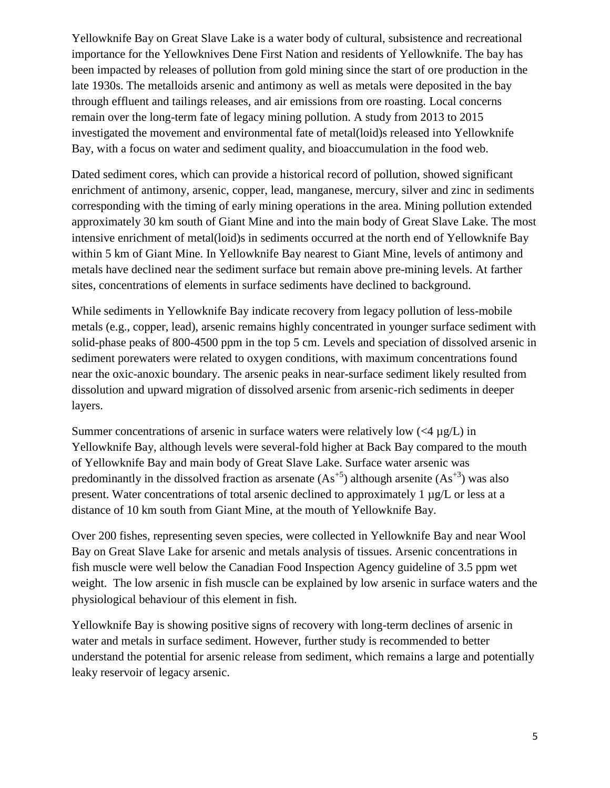Yellowknife Bay on Great Slave Lake is a water body of cultural, subsistence and recreational importance for the Yellowknives Dene First Nation and residents of Yellowknife. The bay has been impacted by releases of pollution from gold mining since the start of ore production in the late 1930s. The metalloids arsenic and antimony as well as metals were deposited in the bay through effluent and tailings releases, and air emissions from ore roasting. Local concerns remain over the long-term fate of legacy mining pollution. A study from 2013 to 2015 investigated the movement and environmental fate of metal(loid)s released into Yellowknife Bay, with a focus on water and sediment quality, and bioaccumulation in the food web.

Dated sediment cores, which can provide a historical record of pollution, showed significant enrichment of antimony, arsenic, copper, lead, manganese, mercury, silver and zinc in sediments corresponding with the timing of early mining operations in the area. Mining pollution extended approximately 30 km south of Giant Mine and into the main body of Great Slave Lake. The most intensive enrichment of metal(loid)s in sediments occurred at the north end of Yellowknife Bay within 5 km of Giant Mine. In Yellowknife Bay nearest to Giant Mine, levels of antimony and metals have declined near the sediment surface but remain above pre-mining levels. At farther sites, concentrations of elements in surface sediments have declined to background.

While sediments in Yellowknife Bay indicate recovery from legacy pollution of less-mobile metals (e.g., copper, lead), arsenic remains highly concentrated in younger surface sediment with solid-phase peaks of 800-4500 ppm in the top 5 cm. Levels and speciation of dissolved arsenic in sediment porewaters were related to oxygen conditions, with maximum concentrations found near the oxic-anoxic boundary. The arsenic peaks in near-surface sediment likely resulted from dissolution and upward migration of dissolved arsenic from arsenic-rich sediments in deeper layers.

Summer concentrations of arsenic in surface waters were relatively low  $(<4 \mu g/L$ ) in Yellowknife Bay, although levels were several-fold higher at Back Bay compared to the mouth of Yellowknife Bay and main body of Great Slave Lake. Surface water arsenic was predominantly in the dissolved fraction as arsenate  $(As^{+5})$  although arsenite  $(As^{+3})$  was also present. Water concentrations of total arsenic declined to approximately 1 µg/L or less at a distance of 10 km south from Giant Mine, at the mouth of Yellowknife Bay.

Over 200 fishes, representing seven species, were collected in Yellowknife Bay and near Wool Bay on Great Slave Lake for arsenic and metals analysis of tissues. Arsenic concentrations in fish muscle were well below the Canadian Food Inspection Agency guideline of 3.5 ppm wet weight. The low arsenic in fish muscle can be explained by low arsenic in surface waters and the physiological behaviour of this element in fish.

Yellowknife Bay is showing positive signs of recovery with long-term declines of arsenic in water and metals in surface sediment. However, further study is recommended to better understand the potential for arsenic release from sediment, which remains a large and potentially leaky reservoir of legacy arsenic.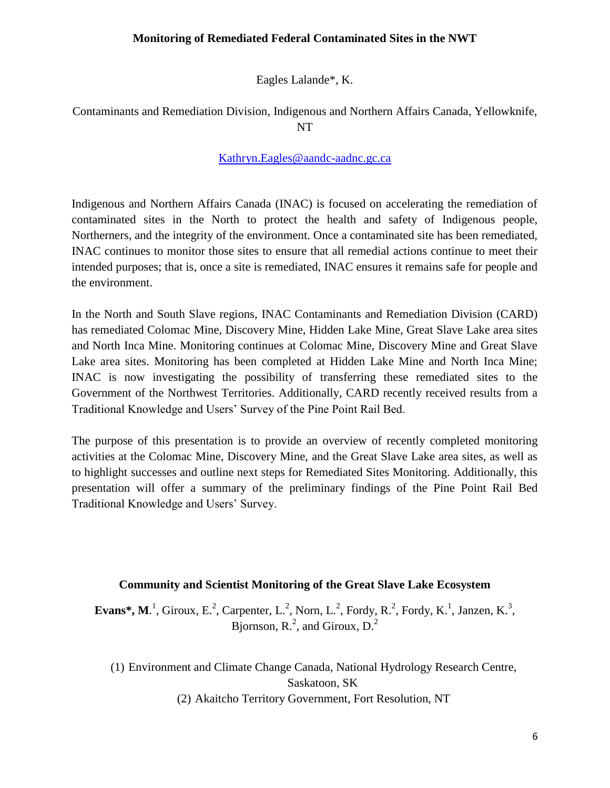## **Monitoring of Remediated Federal Contaminated Sites in the NWT**

Eagles Lalande\*, K.

## Contaminants and Remediation Division, Indigenous and Northern Affairs Canada, Yellowknife, NT

#### [Kathryn.Eagles@aandc-aadnc.gc.ca](mailto:Kathryn.Eagles@aandc-aadnc.gc.ca)

Indigenous and Northern Affairs Canada (INAC) is focused on accelerating the remediation of contaminated sites in the North to protect the health and safety of Indigenous people, Northerners, and the integrity of the environment. Once a contaminated site has been remediated, INAC continues to monitor those sites to ensure that all remedial actions continue to meet their intended purposes; that is, once a site is remediated, INAC ensures it remains safe for people and the environment.

In the North and South Slave regions, INAC Contaminants and Remediation Division (CARD) has remediated Colomac Mine, Discovery Mine, Hidden Lake Mine, Great Slave Lake area sites and North Inca Mine. Monitoring continues at Colomac Mine, Discovery Mine and Great Slave Lake area sites. Monitoring has been completed at Hidden Lake Mine and North Inca Mine; INAC is now investigating the possibility of transferring these remediated sites to the Government of the Northwest Territories. Additionally, CARD recently received results from a Traditional Knowledge and Users' Survey of the Pine Point Rail Bed.

The purpose of this presentation is to provide an overview of recently completed monitoring activities at the Colomac Mine, Discovery Mine, and the Great Slave Lake area sites, as well as to highlight successes and outline next steps for Remediated Sites Monitoring. Additionally, this presentation will offer a summary of the preliminary findings of the Pine Point Rail Bed Traditional Knowledge and Users' Survey.

#### **Community and Scientist Monitoring of the Great Slave Lake Ecosystem**

**Evans\*, M.**<sup>1</sup>, Giroux, E.<sup>2</sup>, Carpenter, L.<sup>2</sup>, Norn, L.<sup>2</sup>, Fordy, R.<sup>2</sup>, Fordy, K.<sup>1</sup>, Janzen, K.<sup>3</sup>, Bjornson,  $R<sup>2</sup>$ , and Giroux,  $D<sup>2</sup>$ 

(1) Environment and Climate Change Canada, National Hydrology Research Centre, Saskatoon, SK (2) Akaitcho Territory Government, Fort Resolution, NT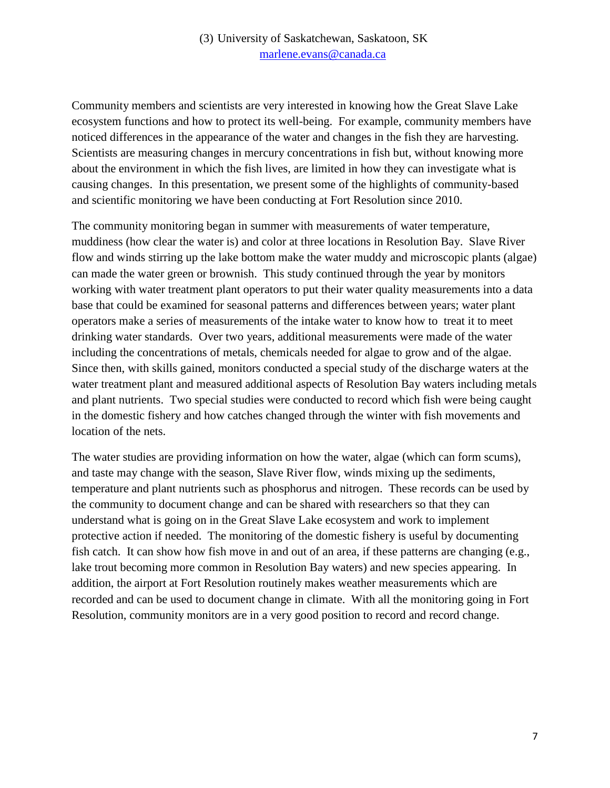## (3) University of Saskatchewan, Saskatoon, SK [marlene.evans@canada.ca](mailto:marlene.evans@canada.ca)

Community members and scientists are very interested in knowing how the Great Slave Lake ecosystem functions and how to protect its well-being. For example, community members have noticed differences in the appearance of the water and changes in the fish they are harvesting. Scientists are measuring changes in mercury concentrations in fish but, without knowing more about the environment in which the fish lives, are limited in how they can investigate what is causing changes. In this presentation, we present some of the highlights of community-based and scientific monitoring we have been conducting at Fort Resolution since 2010.

The community monitoring began in summer with measurements of water temperature, muddiness (how clear the water is) and color at three locations in Resolution Bay. Slave River flow and winds stirring up the lake bottom make the water muddy and microscopic plants (algae) can made the water green or brownish. This study continued through the year by monitors working with water treatment plant operators to put their water quality measurements into a data base that could be examined for seasonal patterns and differences between years; water plant operators make a series of measurements of the intake water to know how to treat it to meet drinking water standards. Over two years, additional measurements were made of the water including the concentrations of metals, chemicals needed for algae to grow and of the algae. Since then, with skills gained, monitors conducted a special study of the discharge waters at the water treatment plant and measured additional aspects of Resolution Bay waters including metals and plant nutrients. Two special studies were conducted to record which fish were being caught in the domestic fishery and how catches changed through the winter with fish movements and location of the nets.

The water studies are providing information on how the water, algae (which can form scums), and taste may change with the season, Slave River flow, winds mixing up the sediments, temperature and plant nutrients such as phosphorus and nitrogen. These records can be used by the community to document change and can be shared with researchers so that they can understand what is going on in the Great Slave Lake ecosystem and work to implement protective action if needed. The monitoring of the domestic fishery is useful by documenting fish catch. It can show how fish move in and out of an area, if these patterns are changing (e.g., lake trout becoming more common in Resolution Bay waters) and new species appearing. In addition, the airport at Fort Resolution routinely makes weather measurements which are recorded and can be used to document change in climate. With all the monitoring going in Fort Resolution, community monitors are in a very good position to record and record change.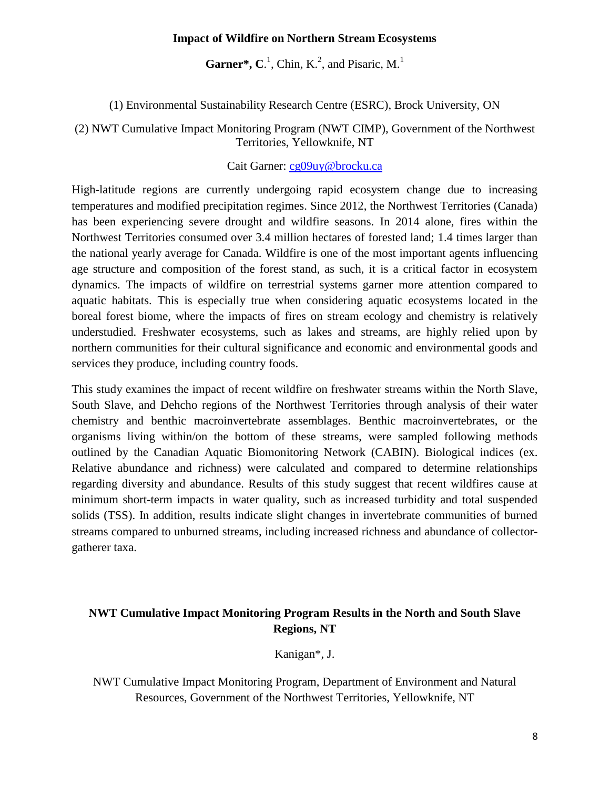#### **Impact of Wildfire on Northern Stream Ecosystems**

**Garner\*, C.**<sup>1</sup>, Chin, K.<sup>2</sup>, and Pisaric, M.<sup>1</sup>

(1) Environmental Sustainability Research Centre (ESRC), Brock University, ON

(2) NWT Cumulative Impact Monitoring Program (NWT CIMP), Government of the Northwest Territories, Yellowknife, NT

Cait Garner: [cg09uy@brocku.ca](mailto:cg09uy@brocku.ca)

High-latitude regions are currently undergoing rapid ecosystem change due to increasing temperatures and modified precipitation regimes. Since 2012, the Northwest Territories (Canada) has been experiencing severe drought and wildfire seasons. In 2014 alone, fires within the Northwest Territories consumed over 3.4 million hectares of forested land; 1.4 times larger than the national yearly average for Canada. Wildfire is one of the most important agents influencing age structure and composition of the forest stand, as such, it is a critical factor in ecosystem dynamics. The impacts of wildfire on terrestrial systems garner more attention compared to aquatic habitats. This is especially true when considering aquatic ecosystems located in the boreal forest biome, where the impacts of fires on stream ecology and chemistry is relatively understudied. Freshwater ecosystems, such as lakes and streams, are highly relied upon by northern communities for their cultural significance and economic and environmental goods and services they produce, including country foods.

This study examines the impact of recent wildfire on freshwater streams within the North Slave, South Slave, and Dehcho regions of the Northwest Territories through analysis of their water chemistry and benthic macroinvertebrate assemblages. Benthic macroinvertebrates, or the organisms living within/on the bottom of these streams, were sampled following methods outlined by the Canadian Aquatic Biomonitoring Network (CABIN). Biological indices (ex. Relative abundance and richness) were calculated and compared to determine relationships regarding diversity and abundance. Results of this study suggest that recent wildfires cause at minimum short-term impacts in water quality, such as increased turbidity and total suspended solids (TSS). In addition, results indicate slight changes in invertebrate communities of burned streams compared to unburned streams, including increased richness and abundance of collectorgatherer taxa.

## **NWT Cumulative Impact Monitoring Program Results in the North and South Slave Regions, NT**

Kanigan\*, J.

NWT Cumulative Impact Monitoring Program, Department of Environment and Natural Resources, Government of the Northwest Territories, Yellowknife, NT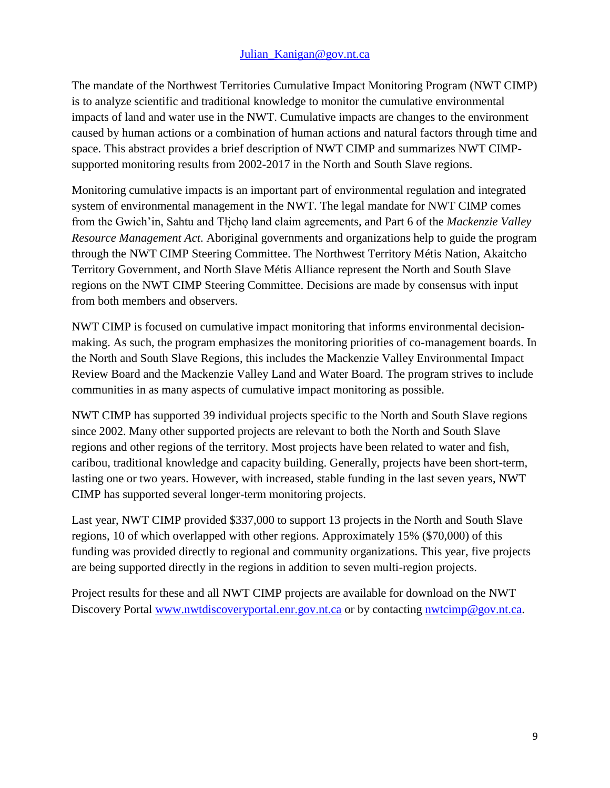#### Julian Kanigan@gov.nt.ca

The mandate of the Northwest Territories Cumulative Impact Monitoring Program (NWT CIMP) is to analyze scientific and traditional knowledge to monitor the cumulative environmental impacts of land and water use in the NWT. Cumulative impacts are changes to the environment caused by human actions or a combination of human actions and natural factors through time and space. This abstract provides a brief description of NWT CIMP and summarizes NWT CIMPsupported monitoring results from 2002-2017 in the North and South Slave regions.

Monitoring cumulative impacts is an important part of environmental regulation and integrated system of environmental management in the NWT. The legal mandate for NWT CIMP comes from the Gwich'in, Sahtu and Tłįcho land claim agreements, and Part 6 of the *Mackenzie Valley Resource Management Act*. Aboriginal governments and organizations help to guide the program through the NWT CIMP Steering Committee. The Northwest Territory Métis Nation, Akaitcho Territory Government, and North Slave Métis Alliance represent the North and South Slave regions on the NWT CIMP Steering Committee. Decisions are made by consensus with input from both members and observers.

NWT CIMP is focused on cumulative impact monitoring that informs environmental decisionmaking. As such, the program emphasizes the monitoring priorities of co-management boards. In the North and South Slave Regions, this includes the Mackenzie Valley Environmental Impact Review Board and the Mackenzie Valley Land and Water Board. The program strives to include communities in as many aspects of cumulative impact monitoring as possible.

NWT CIMP has supported 39 individual projects specific to the North and South Slave regions since 2002. Many other supported projects are relevant to both the North and South Slave regions and other regions of the territory. Most projects have been related to water and fish, caribou, traditional knowledge and capacity building. Generally, projects have been short-term, lasting one or two years. However, with increased, stable funding in the last seven years, NWT CIMP has supported several longer-term monitoring projects.

Last year, NWT CIMP provided \$337,000 to support 13 projects in the North and South Slave regions, 10 of which overlapped with other regions. Approximately 15% (\$70,000) of this funding was provided directly to regional and community organizations. This year, five projects are being supported directly in the regions in addition to seven multi-region projects.

Project results for these and all NWT CIMP projects are available for download on the NWT Discovery Portal [www.nwtdiscoveryportal.enr.gov.nt.ca](http://www.nwtdiscoveryportal.enr.gov.nt.ca/) or by contacting [nwtcimp@gov.nt.ca.](mailto:nwtcimp@gov.nt.ca)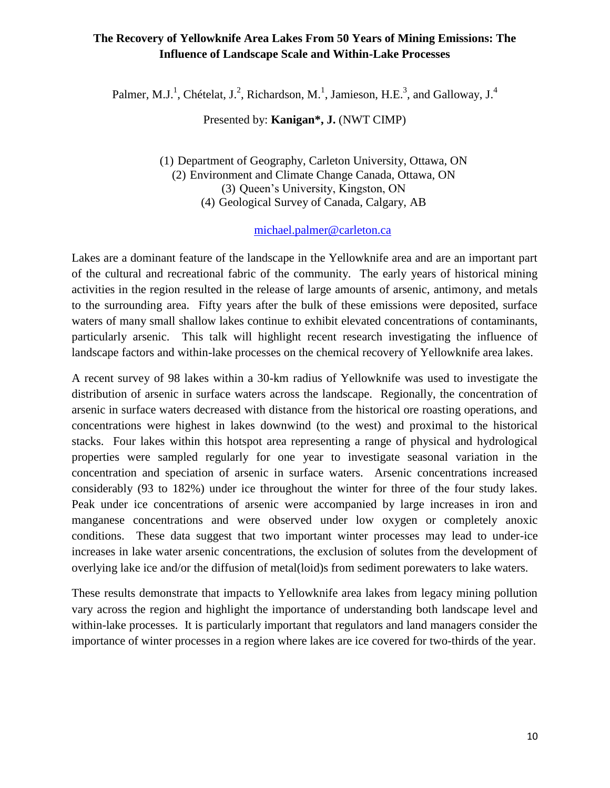## **The Recovery of Yellowknife Area Lakes From 50 Years of Mining Emissions: The Influence of Landscape Scale and Within-Lake Processes**

Palmer, M.J.<sup>1</sup>, Chételat, J.<sup>2</sup>, Richardson, M.<sup>1</sup>, Jamieson, H.E.<sup>3</sup>, and Galloway, J.<sup>4</sup>

Presented by: **Kanigan\*, J.** (NWT CIMP)

(1) Department of Geography, Carleton University, Ottawa, ON (2) Environment and Climate Change Canada, Ottawa, ON (3) Queen's University, Kingston, ON (4) Geological Survey of Canada, Calgary, AB

## [michael.palmer@carleton.ca](mailto:michael.palmer@carleton.ca)

Lakes are a dominant feature of the landscape in the Yellowknife area and are an important part of the cultural and recreational fabric of the community. The early years of historical mining activities in the region resulted in the release of large amounts of arsenic, antimony, and metals to the surrounding area. Fifty years after the bulk of these emissions were deposited, surface waters of many small shallow lakes continue to exhibit elevated concentrations of contaminants, particularly arsenic. This talk will highlight recent research investigating the influence of landscape factors and within-lake processes on the chemical recovery of Yellowknife area lakes.

A recent survey of 98 lakes within a 30-km radius of Yellowknife was used to investigate the distribution of arsenic in surface waters across the landscape. Regionally, the concentration of arsenic in surface waters decreased with distance from the historical ore roasting operations, and concentrations were highest in lakes downwind (to the west) and proximal to the historical stacks. Four lakes within this hotspot area representing a range of physical and hydrological properties were sampled regularly for one year to investigate seasonal variation in the concentration and speciation of arsenic in surface waters. Arsenic concentrations increased considerably (93 to 182%) under ice throughout the winter for three of the four study lakes. Peak under ice concentrations of arsenic were accompanied by large increases in iron and manganese concentrations and were observed under low oxygen or completely anoxic conditions. These data suggest that two important winter processes may lead to under-ice increases in lake water arsenic concentrations, the exclusion of solutes from the development of overlying lake ice and/or the diffusion of metal(loid)s from sediment porewaters to lake waters.

These results demonstrate that impacts to Yellowknife area lakes from legacy mining pollution vary across the region and highlight the importance of understanding both landscape level and within-lake processes. It is particularly important that regulators and land managers consider the importance of winter processes in a region where lakes are ice covered for two-thirds of the year.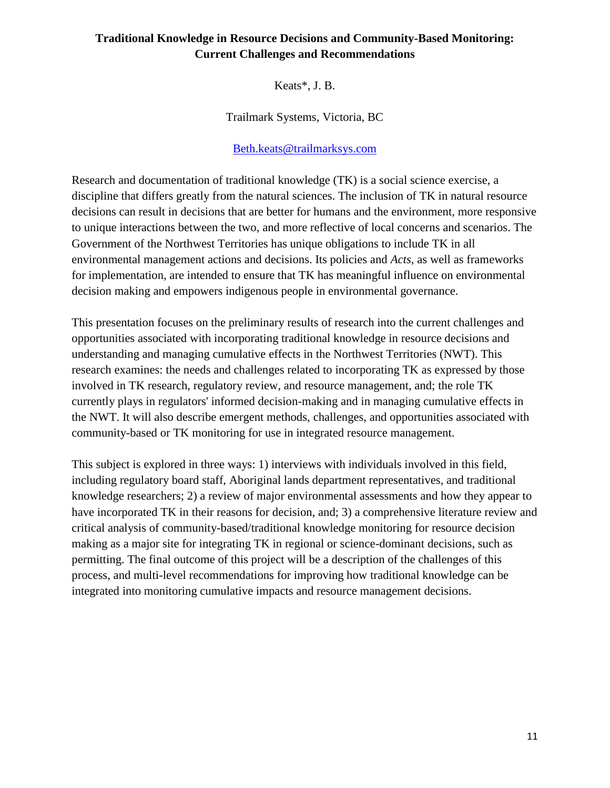## **Traditional Knowledge in Resource Decisions and Community-Based Monitoring: Current Challenges and Recommendations**

Keats\*, J. B.

Trailmark Systems, Victoria, BC

### [Beth.keats@trailmarksys.com](mailto:Beth.keats@trailmarksys.com)

Research and documentation of traditional knowledge (TK) is a social science exercise, a discipline that differs greatly from the natural sciences. The inclusion of TK in natural resource decisions can result in decisions that are better for humans and the environment, more responsive to unique interactions between the two, and more reflective of local concerns and scenarios. The Government of the Northwest Territories has unique obligations to include TK in all environmental management actions and decisions. Its policies and *Acts*, as well as frameworks for implementation, are intended to ensure that TK has meaningful influence on environmental decision making and empowers indigenous people in environmental governance.

This presentation focuses on the preliminary results of research into the current challenges and opportunities associated with incorporating traditional knowledge in resource decisions and understanding and managing cumulative effects in the Northwest Territories (NWT). This research examines: the needs and challenges related to incorporating TK as expressed by those involved in TK research, regulatory review, and resource management, and; the role TK currently plays in regulators' informed decision-making and in managing cumulative effects in the NWT. It will also describe emergent methods, challenges, and opportunities associated with community-based or TK monitoring for use in integrated resource management.

This subject is explored in three ways: 1) interviews with individuals involved in this field, including regulatory board staff, Aboriginal lands department representatives, and traditional knowledge researchers; 2) a review of major environmental assessments and how they appear to have incorporated TK in their reasons for decision, and; 3) a comprehensive literature review and critical analysis of community-based/traditional knowledge monitoring for resource decision making as a major site for integrating TK in regional or science-dominant decisions, such as permitting. The final outcome of this project will be a description of the challenges of this process, and multi-level recommendations for improving how traditional knowledge can be integrated into monitoring cumulative impacts and resource management decisions.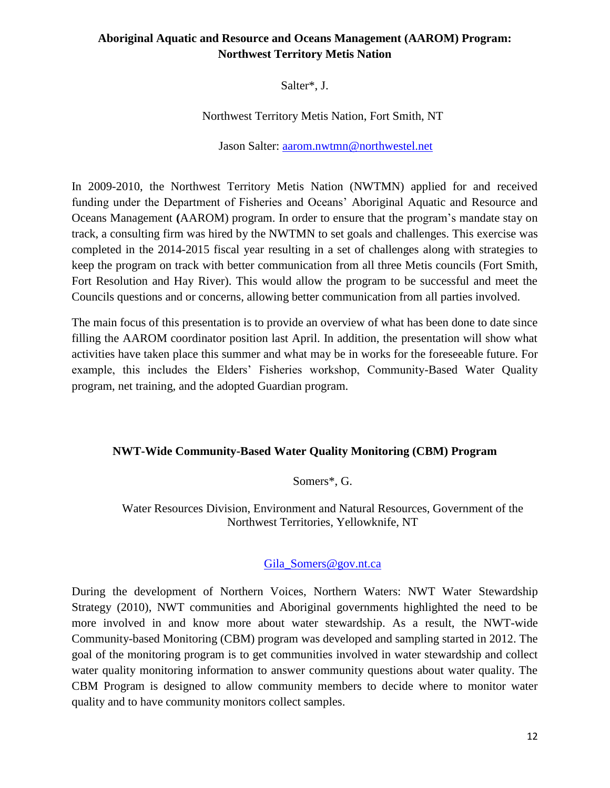## **Aboriginal Aquatic and Resource and Oceans Management (AAROM) Program: Northwest Territory Metis Nation**

Salter\*, J.

Northwest Territory Metis Nation, Fort Smith, NT

Jason Salter: [aarom.nwtmn@northwestel.net](mailto:aarom.nwtmn@northwestel.net)

In 2009-2010, the Northwest Territory Metis Nation (NWTMN) applied for and received funding under the Department of Fisheries and Oceans' Aboriginal Aquatic and Resource and Oceans Management **(**AAROM) program. In order to ensure that the program's mandate stay on track, a consulting firm was hired by the NWTMN to set goals and challenges. This exercise was completed in the 2014-2015 fiscal year resulting in a set of challenges along with strategies to keep the program on track with better communication from all three Metis councils (Fort Smith, Fort Resolution and Hay River). This would allow the program to be successful and meet the Councils questions and or concerns, allowing better communication from all parties involved.

The main focus of this presentation is to provide an overview of what has been done to date since filling the AAROM coordinator position last April. In addition, the presentation will show what activities have taken place this summer and what may be in works for the foreseeable future. For example, this includes the Elders' Fisheries workshop, Community-Based Water Quality program, net training, and the adopted Guardian program.

#### **NWT-Wide Community-Based Water Quality Monitoring (CBM) Program**

#### Somers\*, G.

Water Resources Division, Environment and Natural Resources, Government of the Northwest Territories, Yellowknife, NT

#### [Gila\\_Somers@gov.nt.ca](mailto:Gila_Somers@gov.nt.ca)

During the development of Northern Voices, Northern Waters: NWT Water Stewardship Strategy (2010), NWT communities and Aboriginal governments highlighted the need to be more involved in and know more about water stewardship. As a result, the NWT-wide Community-based Monitoring (CBM) program was developed and sampling started in 2012. The goal of the monitoring program is to get communities involved in water stewardship and collect water quality monitoring information to answer community questions about water quality. The CBM Program is designed to allow community members to decide where to monitor water quality and to have community monitors collect samples.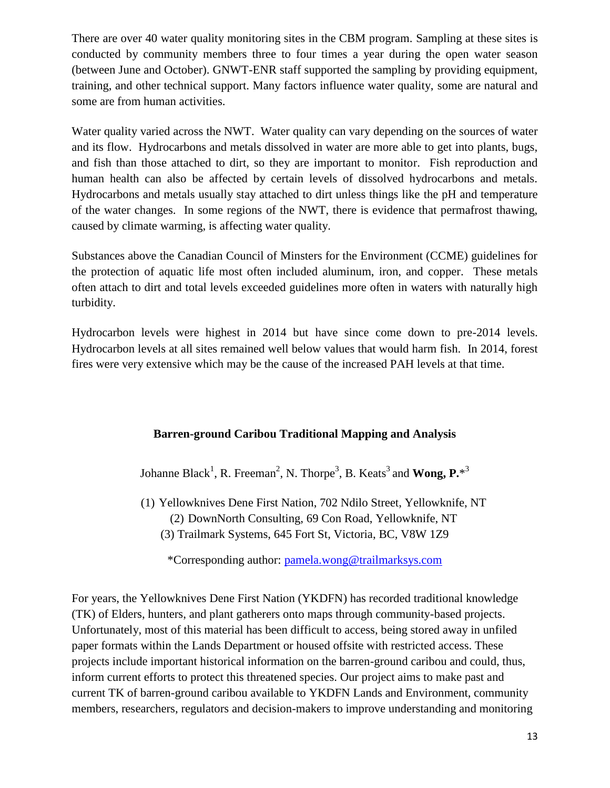There are over 40 water quality monitoring sites in the CBM program. Sampling at these sites is conducted by community members three to four times a year during the open water season (between June and October). GNWT-ENR staff supported the sampling by providing equipment, training, and other technical support. Many factors influence water quality, some are natural and some are from human activities.

Water quality varied across the NWT. Water quality can vary depending on the sources of water and its flow. Hydrocarbons and metals dissolved in water are more able to get into plants, bugs, and fish than those attached to dirt, so they are important to monitor. Fish reproduction and human health can also be affected by certain levels of dissolved hydrocarbons and metals. Hydrocarbons and metals usually stay attached to dirt unless things like the pH and temperature of the water changes. In some regions of the NWT, there is evidence that permafrost thawing, caused by climate warming, is affecting water quality.

Substances above the Canadian Council of Minsters for the Environment (CCME) guidelines for the protection of aquatic life most often included aluminum, iron, and copper. These metals often attach to dirt and total levels exceeded guidelines more often in waters with naturally high turbidity.

Hydrocarbon levels were highest in 2014 but have since come down to pre-2014 levels. Hydrocarbon levels at all sites remained well below values that would harm fish. In 2014, forest fires were very extensive which may be the cause of the increased PAH levels at that time.

## **Barren-ground Caribou Traditional Mapping and Analysis**

Johanne Black<sup>1</sup>, R. Freeman<sup>2</sup>, N. Thorpe<sup>3</sup>, B. Keats<sup>3</sup> and **Wong, P.**\*<sup>3</sup>

(1) Yellowknives Dene First Nation, 702 Ndilo Street, Yellowknife, NT (2) DownNorth Consulting, 69 Con Road, Yellowknife, NT (3) Trailmark Systems, 645 Fort St, Victoria, BC, V8W 1Z9

\*Corresponding author: [pamela.wong@trailmarksys.com](mailto:pamela.wong@trailmarksys.com)

For years, the Yellowknives Dene First Nation (YKDFN) has recorded traditional knowledge (TK) of Elders, hunters, and plant gatherers onto maps through community-based projects. Unfortunately, most of this material has been difficult to access, being stored away in unfiled paper formats within the Lands Department or housed offsite with restricted access. These projects include important historical information on the barren-ground caribou and could, thus, inform current efforts to protect this threatened species. Our project aims to make past and current TK of barren-ground caribou available to YKDFN Lands and Environment, community members, researchers, regulators and decision-makers to improve understanding and monitoring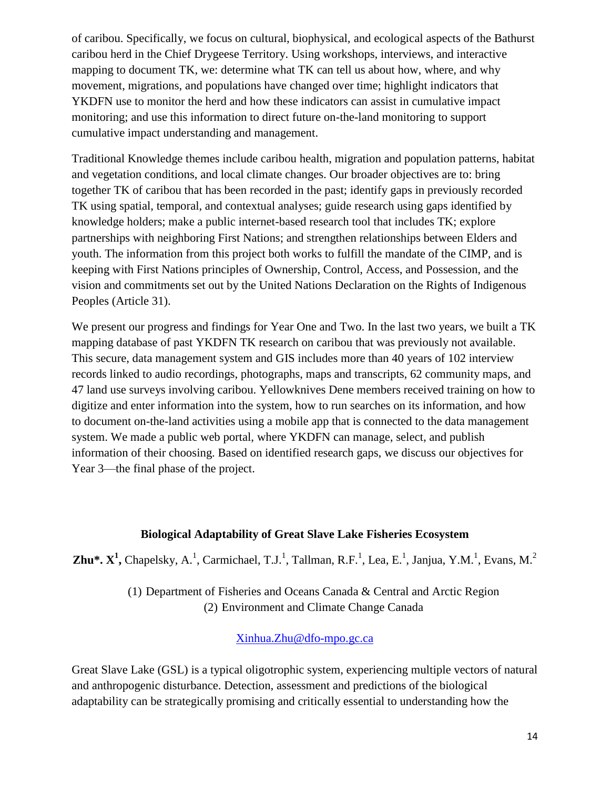of caribou. Specifically, we focus on cultural, biophysical, and ecological aspects of the Bathurst caribou herd in the Chief Drygeese Territory. Using workshops, interviews, and interactive mapping to document TK, we: determine what TK can tell us about how, where, and why movement, migrations, and populations have changed over time; highlight indicators that YKDFN use to monitor the herd and how these indicators can assist in cumulative impact monitoring; and use this information to direct future on-the-land monitoring to support cumulative impact understanding and management.

Traditional Knowledge themes include caribou health, migration and population patterns, habitat and vegetation conditions, and local climate changes. Our broader objectives are to: bring together TK of caribou that has been recorded in the past; identify gaps in previously recorded TK using spatial, temporal, and contextual analyses; guide research using gaps identified by knowledge holders; make a public internet-based research tool that includes TK; explore partnerships with neighboring First Nations; and strengthen relationships between Elders and youth. The information from this project both works to fulfill the mandate of the CIMP, and is keeping with First Nations principles of Ownership, Control, Access, and Possession, and the vision and commitments set out by the United Nations Declaration on the Rights of Indigenous Peoples (Article 31).

We present our progress and findings for Year One and Two. In the last two years, we built a TK mapping database of past YKDFN TK research on caribou that was previously not available. This secure, data management system and GIS includes more than 40 years of 102 interview records linked to audio recordings, photographs, maps and transcripts, 62 community maps, and 47 land use surveys involving caribou. Yellowknives Dene members received training on how to digitize and enter information into the system, how to run searches on its information, and how to document on-the-land activities using a mobile app that is connected to the data management system. We made a public web portal, where YKDFN can manage, select, and publish information of their choosing. Based on identified research gaps, we discuss our objectives for Year 3—the final phase of the project.

## **Biological Adaptability of Great Slave Lake Fisheries Ecosystem**

**Zhu\*.**  $X^1$ **, Chapelsky, A.<sup>1</sup>, Carmichael, T.J.<sup>1</sup>, Tallman, R.F.<sup>1</sup>, Lea, E.<sup>1</sup>, Janjua, Y.M.<sup>1</sup>, Evans, M.<sup>2</sup>** 

(1) Department of Fisheries and Oceans Canada & Central and Arctic Region (2) Environment and Climate Change Canada

#### [Xinhua.Zhu@dfo-mpo.gc.ca](mailto:Xinhua.Zhu@dfo-mpo.gc.ca)

Great Slave Lake (GSL) is a typical oligotrophic system, experiencing multiple vectors of natural and anthropogenic disturbance. Detection, assessment and predictions of the biological adaptability can be strategically promising and critically essential to understanding how the